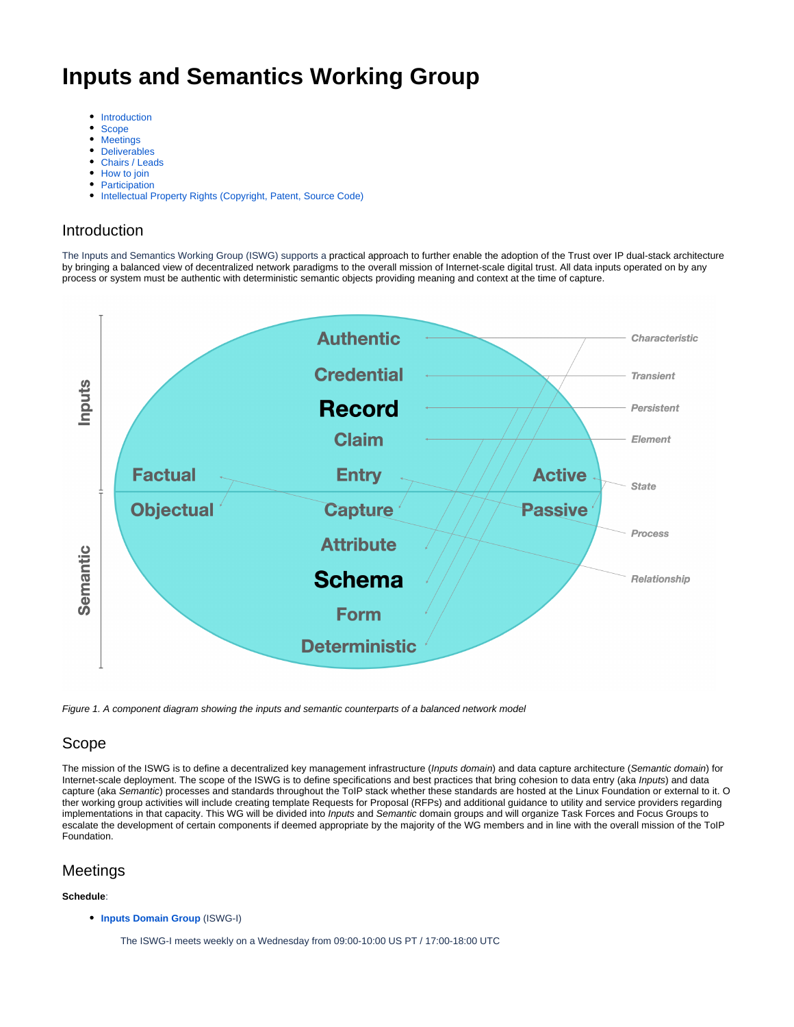# **Inputs and Semantics Working Group**

- $\bullet$ [Introduction](#page-0-0)
- [Scope](#page-0-1)
- $\bullet$ **[Meetings](#page-0-2)**
- **[Deliverables](#page-1-0)**
- [Chairs / Leads](#page-1-1)
- [How to join](#page-1-2)
- **[Participation](#page-1-3)**
- [Intellectual Property Rights \(Copyright, Patent, Source Code\)](#page-1-4)

#### <span id="page-0-0"></span>Introduction

The Inputs and Semantics Working Group (ISWG) supports a practical approach to further enable the adoption of the Trust over IP dual-stack architecture by bringing a balanced view of decentralized network paradigms to the overall mission of Internet-scale digital trust. All data inputs operated on by any process or system must be authentic with deterministic semantic objects providing meaning and context at the time of capture.



Figure 1. A component diagram showing the inputs and semantic counterparts of a balanced network model

## <span id="page-0-1"></span>Scope

The mission of the ISWG is to define a decentralized key management infrastructure (Inputs domain) and data capture architecture (Semantic domain) for Internet-scale deployment. The scope of the ISWG is to define specifications and best practices that bring cohesion to data entry (aka Inputs) and data capture (aka Semantic) processes and standards throughout the ToIP stack whether these standards are hosted at the Linux Foundation or external to it. O ther working group activities will include creating template Requests for Proposal (RFPs) and additional guidance to utility and service providers regarding implementations in that capacity. This WG will be divided into Inputs and Semantic domain groups and will organize Task Forces and Focus Groups to escalate the development of certain components if deemed appropriate by the majority of the WG members and in line with the overall mission of the ToIP Foundation.

#### <span id="page-0-2"></span>Meetings

#### **Schedule**:

**[Inputs Domain Group](https://wiki.trustoverip.org/display/HOME/Inputs+Domain+Group)** (ISWG-I)

The ISWG-I meets weekly on a Wednesday from 09:00-10:00 US PT / 17:00-18:00 UTC